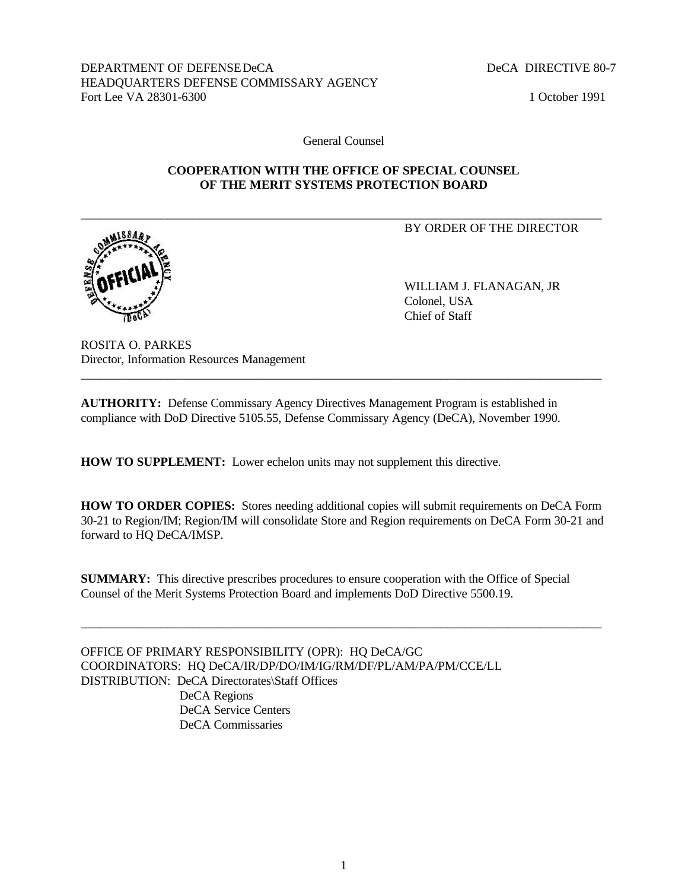DEPARTMENT OF DEFENSEDeCA DECA DIRECTIVE 80-7 HEADQUARTERS DEFENSE COMMISSARY AGENCY Fort Lee VA 28301-6300 1 October 1991

General Counsel

#### **COOPERATION WITH THE OFFICE OF SPECIAL COUNSEL OF THE MERIT SYSTEMS PROTECTION BOARD**

\_\_\_\_\_\_\_\_\_\_\_\_\_\_\_\_\_\_\_\_\_\_\_\_\_\_\_\_\_\_\_\_\_\_\_\_\_\_\_\_\_\_\_\_\_\_\_\_\_\_\_\_\_\_\_\_\_\_\_\_\_\_\_\_\_\_\_\_\_\_\_\_\_\_\_\_\_\_\_\_\_\_\_\_

BY ORDER OF THE DIRECTOR

WILLIAM J. FLANAGAN, JR Colonel, USA Chief of Staff

ROSITA O. PARKES Director, Information Resources Management

**AUTHORITY:** Defense Commissary Agency Directives Management Program is established in compliance with DoD Directive 5105.55, Defense Commissary Agency (DeCA), November 1990.

\_\_\_\_\_\_\_\_\_\_\_\_\_\_\_\_\_\_\_\_\_\_\_\_\_\_\_\_\_\_\_\_\_\_\_\_\_\_\_\_\_\_\_\_\_\_\_\_\_\_\_\_\_\_\_\_\_\_\_\_\_\_\_\_\_\_\_\_\_\_\_\_\_\_\_\_\_\_\_\_\_\_\_\_

**HOW TO SUPPLEMENT:** Lower echelon units may not supplement this directive.

**HOW TO ORDER COPIES:** Stores needing additional copies will submit requirements on DeCA Form 30-21 to Region/IM; Region/IM will consolidate Store and Region requirements on DeCA Form 30-21 and forward to HQ DeCA/IMSP.

**SUMMARY:** This directive prescribes procedures to ensure cooperation with the Office of Special Counsel of the Merit Systems Protection Board and implements DoD Directive 5500.19.

\_\_\_\_\_\_\_\_\_\_\_\_\_\_\_\_\_\_\_\_\_\_\_\_\_\_\_\_\_\_\_\_\_\_\_\_\_\_\_\_\_\_\_\_\_\_\_\_\_\_\_\_\_\_\_\_\_\_\_\_\_\_\_\_\_\_\_\_\_\_\_\_\_\_\_\_\_\_\_\_\_\_\_\_

OFFICE OF PRIMARY RESPONSIBILITY (OPR): HQ DeCA/GC COORDINATORS: HQ DeCA/IR/DP/DO/IM/IG/RM/DF/PL/AM/PA/PM/CCE/LL DISTRIBUTION: DeCA Directorates\Staff Offices DeCA Regions DeCA Service Centers DeCA Commissaries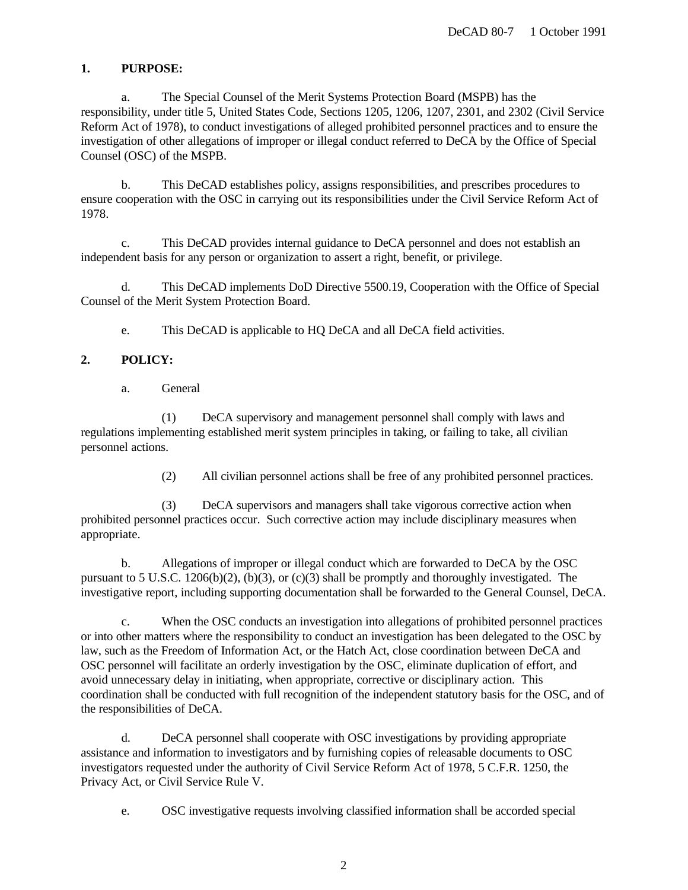# **1. PURPOSE:**

a. The Special Counsel of the Merit Systems Protection Board (MSPB) has the responsibility, under title 5, United States Code, Sections 1205, 1206, 1207, 2301, and 2302 (Civil Service Reform Act of 1978), to conduct investigations of alleged prohibited personnel practices and to ensure the investigation of other allegations of improper or illegal conduct referred to DeCA by the Office of Special Counsel (OSC) of the MSPB.

b. This DeCAD establishes policy, assigns responsibilities, and prescribes procedures to ensure cooperation with the OSC in carrying out its responsibilities under the Civil Service Reform Act of 1978.

c. This DeCAD provides internal guidance to DeCA personnel and does not establish an independent basis for any person or organization to assert a right, benefit, or privilege.

d. This DeCAD implements DoD Directive 5500.19, Cooperation with the Office of Special Counsel of the Merit System Protection Board.

e. This DeCAD is applicable to HQ DeCA and all DeCA field activities.

### **2. POLICY:**

a. General

(1) DeCA supervisory and management personnel shall comply with laws and regulations implementing established merit system principles in taking, or failing to take, all civilian personnel actions.

(2) All civilian personnel actions shall be free of any prohibited personnel practices.

(3) DeCA supervisors and managers shall take vigorous corrective action when prohibited personnel practices occur. Such corrective action may include disciplinary measures when appropriate.

b. Allegations of improper or illegal conduct which are forwarded to DeCA by the OSC pursuant to 5 U.S.C. 1206(b)(2), (b)(3), or (c)(3) shall be promptly and thoroughly investigated. The investigative report, including supporting documentation shall be forwarded to the General Counsel, DeCA.

c. When the OSC conducts an investigation into allegations of prohibited personnel practices or into other matters where the responsibility to conduct an investigation has been delegated to the OSC by law, such as the Freedom of Information Act, or the Hatch Act, close coordination between DeCA and OSC personnel will facilitate an orderly investigation by the OSC, eliminate duplication of effort, and avoid unnecessary delay in initiating, when appropriate, corrective or disciplinary action. This coordination shall be conducted with full recognition of the independent statutory basis for the OSC, and of the responsibilities of DeCA.

d. DeCA personnel shall cooperate with OSC investigations by providing appropriate assistance and information to investigators and by furnishing copies of releasable documents to OSC investigators requested under the authority of Civil Service Reform Act of 1978, 5 C.F.R. 1250, the Privacy Act, or Civil Service Rule V.

e. OSC investigative requests involving classified information shall be accorded special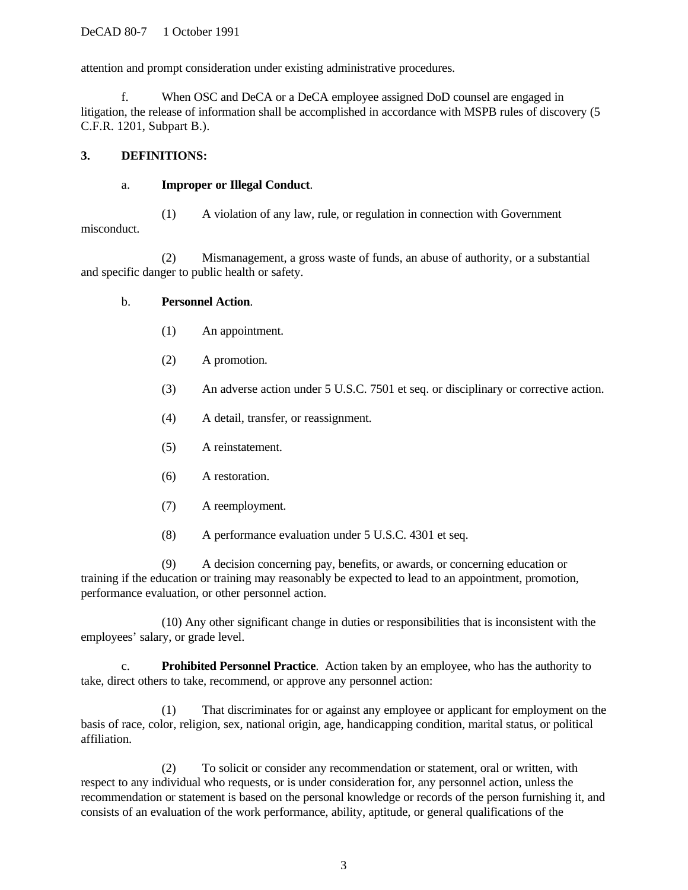attention and prompt consideration under existing administrative procedures.

f. When OSC and DeCA or a DeCA employee assigned DoD counsel are engaged in litigation, the release of information shall be accomplished in accordance with MSPB rules of discovery (5 C.F.R. 1201, Subpart B.).

### **3. DEFINITIONS:**

### a. **Improper or Illegal Conduct**.

(1) A violation of any law, rule, or regulation in connection with Government misconduct.

(2) Mismanagement, a gross waste of funds, an abuse of authority, or a substantial and specific danger to public health or safety.

### b. **Personnel Action**.

- (1) An appointment.
- (2) A promotion.
- (3) An adverse action under 5 U.S.C. 7501 et seq. or disciplinary or corrective action.
- (4) A detail, transfer, or reassignment.
- (5) A reinstatement.
- (6) A restoration.
- (7) A reemployment.
- (8) A performance evaluation under 5 U.S.C. 4301 et seq.

(9) A decision concerning pay, benefits, or awards, or concerning education or training if the education or training may reasonably be expected to lead to an appointment, promotion, performance evaluation, or other personnel action.

(10) Any other significant change in duties or responsibilities that is inconsistent with the employees' salary, or grade level.

c. **Prohibited Personnel Practice**. Action taken by an employee, who has the authority to take, direct others to take, recommend, or approve any personnel action:

(1) That discriminates for or against any employee or applicant for employment on the basis of race, color, religion, sex, national origin, age, handicapping condition, marital status, or political affiliation.

(2) To solicit or consider any recommendation or statement, oral or written, with respect to any individual who requests, or is under consideration for, any personnel action, unless the recommendation or statement is based on the personal knowledge or records of the person furnishing it, and consists of an evaluation of the work performance, ability, aptitude, or general qualifications of the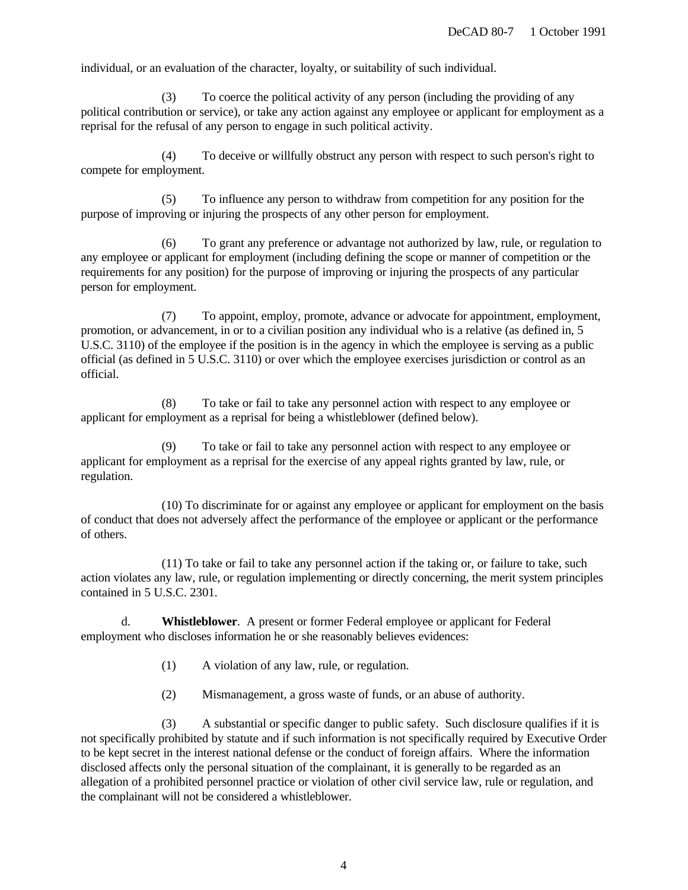individual, or an evaluation of the character, loyalty, or suitability of such individual.

(3) To coerce the political activity of any person (including the providing of any political contribution or service), or take any action against any employee or applicant for employment as a reprisal for the refusal of any person to engage in such political activity.

(4) To deceive or willfully obstruct any person with respect to such person's right to compete for employment.

(5) To influence any person to withdraw from competition for any position for the purpose of improving or injuring the prospects of any other person for employment.

(6) To grant any preference or advantage not authorized by law, rule, or regulation to any employee or applicant for employment (including defining the scope or manner of competition or the requirements for any position) for the purpose of improving or injuring the prospects of any particular person for employment.

(7) To appoint, employ, promote, advance or advocate for appointment, employment, promotion, or advancement, in or to a civilian position any individual who is a relative (as defined in, 5 U.S.C. 3110) of the employee if the position is in the agency in which the employee is serving as a public official (as defined in 5 U.S.C. 3110) or over which the employee exercises jurisdiction or control as an official.

(8) To take or fail to take any personnel action with respect to any employee or applicant for employment as a reprisal for being a whistleblower (defined below).

To take or fail to take any personnel action with respect to any employee or applicant for employment as a reprisal for the exercise of any appeal rights granted by law, rule, or regulation.

(10) To discriminate for or against any employee or applicant for employment on the basis of conduct that does not adversely affect the performance of the employee or applicant or the performance of others.

(11) To take or fail to take any personnel action if the taking or, or failure to take, such action violates any law, rule, or regulation implementing or directly concerning, the merit system principles contained in 5 U.S.C. 2301.

d. **Whistleblower**. A present or former Federal employee or applicant for Federal employment who discloses information he or she reasonably believes evidences:

- (1) A violation of any law, rule, or regulation.
- (2) Mismanagement, a gross waste of funds, or an abuse of authority.

(3) A substantial or specific danger to public safety. Such disclosure qualifies if it is not specifically prohibited by statute and if such information is not specifically required by Executive Order to be kept secret in the interest national defense or the conduct of foreign affairs. Where the information disclosed affects only the personal situation of the complainant, it is generally to be regarded as an allegation of a prohibited personnel practice or violation of other civil service law, rule or regulation, and the complainant will not be considered a whistleblower.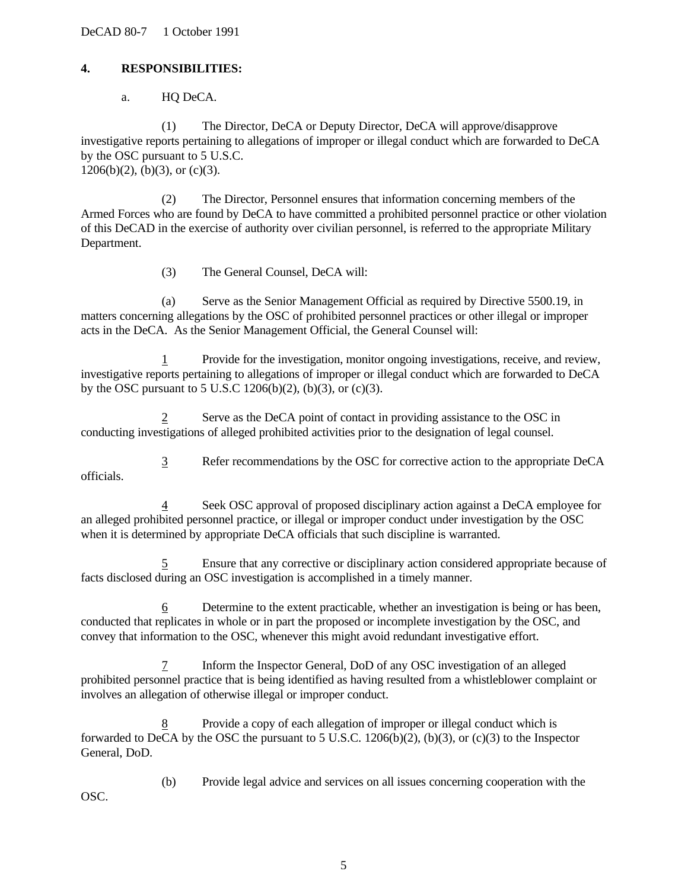DeCAD 80-7 1 October 1991

### **4. RESPONSIBILITIES:**

a. HQ DeCA.

(1) The Director, DeCA or Deputy Director, DeCA will approve/disapprove investigative reports pertaining to allegations of improper or illegal conduct which are forwarded to DeCA by the OSC pursuant to 5 U.S.C.  $1206(b)(2)$ , (b)(3), or (c)(3).

(2) The Director, Personnel ensures that information concerning members of the Armed Forces who are found by DeCA to have committed a prohibited personnel practice or other violation of this DeCAD in the exercise of authority over civilian personnel, is referred to the appropriate Military Department.

(3) The General Counsel, DeCA will:

(a) Serve as the Senior Management Official as required by Directive 5500.19, in matters concerning allegations by the OSC of prohibited personnel practices or other illegal or improper acts in the DeCA. As the Senior Management Official, the General Counsel will:

1 Provide for the investigation, monitor ongoing investigations, receive, and review, investigative reports pertaining to allegations of improper or illegal conduct which are forwarded to DeCA by the OSC pursuant to 5 U.S.C  $1206(b)(2)$ ,  $(b)(3)$ , or  $(c)(3)$ .

2 Serve as the DeCA point of contact in providing assistance to the OSC in conducting investigations of alleged prohibited activities prior to the designation of legal counsel.

3 Refer recommendations by the OSC for corrective action to the appropriate DeCA officials.

4 Seek OSC approval of proposed disciplinary action against a DeCA employee for an alleged prohibited personnel practice, or illegal or improper conduct under investigation by the OSC when it is determined by appropriate DeCA officials that such discipline is warranted.

5 Ensure that any corrective or disciplinary action considered appropriate because of facts disclosed during an OSC investigation is accomplished in a timely manner.

6 Determine to the extent practicable, whether an investigation is being or has been, conducted that replicates in whole or in part the proposed or incomplete investigation by the OSC, and convey that information to the OSC, whenever this might avoid redundant investigative effort.

7 Inform the Inspector General, DoD of any OSC investigation of an alleged prohibited personnel practice that is being identified as having resulted from a whistleblower complaint or involves an allegation of otherwise illegal or improper conduct.

Provide a copy of each allegation of improper or illegal conduct which is forwarded to DeCA by the OSC the pursuant to 5 U.S.C.  $1206(b)(2)$ ,  $(b)(3)$ , or  $(c)(3)$  to the Inspector General, DoD.

(b) Provide legal advice and services on all issues concerning cooperation with the OSC.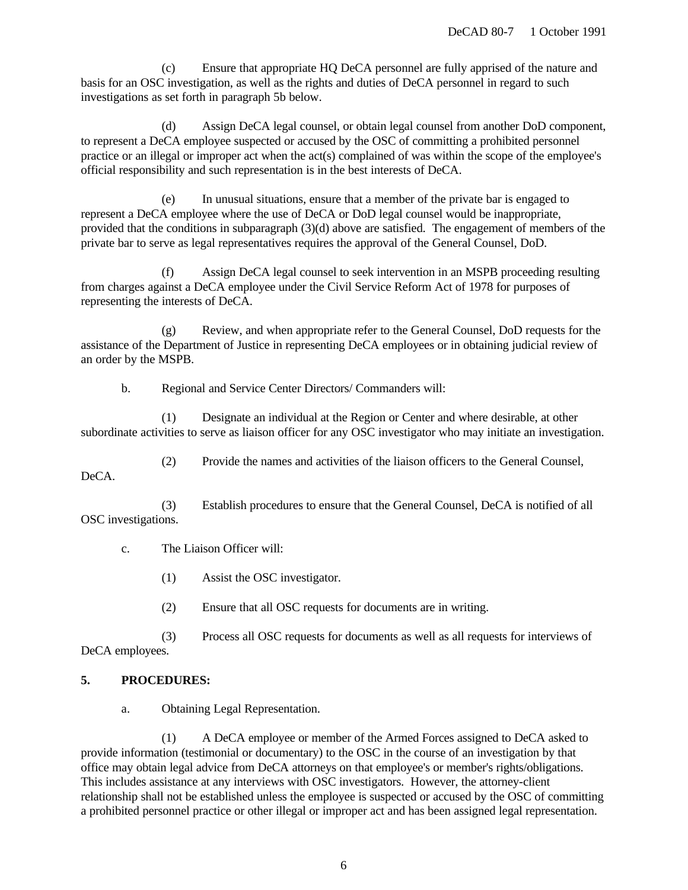(c) Ensure that appropriate HQ DeCA personnel are fully apprised of the nature and basis for an OSC investigation, as well as the rights and duties of DeCA personnel in regard to such investigations as set forth in paragraph 5b below.

(d) Assign DeCA legal counsel, or obtain legal counsel from another DoD component, to represent a DeCA employee suspected or accused by the OSC of committing a prohibited personnel practice or an illegal or improper act when the act(s) complained of was within the scope of the employee's official responsibility and such representation is in the best interests of DeCA.

(e) In unusual situations, ensure that a member of the private bar is engaged to represent a DeCA employee where the use of DeCA or DoD legal counsel would be inappropriate, provided that the conditions in subparagraph (3)(d) above are satisfied. The engagement of members of the private bar to serve as legal representatives requires the approval of the General Counsel, DoD.

(f) Assign DeCA legal counsel to seek intervention in an MSPB proceeding resulting from charges against a DeCA employee under the Civil Service Reform Act of 1978 for purposes of representing the interests of DeCA.

(g) Review, and when appropriate refer to the General Counsel, DoD requests for the assistance of the Department of Justice in representing DeCA employees or in obtaining judicial review of an order by the MSPB.

b. Regional and Service Center Directors/ Commanders will:

(1) Designate an individual at the Region or Center and where desirable, at other subordinate activities to serve as liaison officer for any OSC investigator who may initiate an investigation.

(2) Provide the names and activities of the liaison officers to the General Counsel,

DeCA.

(3) Establish procedures to ensure that the General Counsel, DeCA is notified of all OSC investigations.

c. The Liaison Officer will:

(1) Assist the OSC investigator.

(2) Ensure that all OSC requests for documents are in writing.

(3) Process all OSC requests for documents as well as all requests for interviews of DeCA employees.

## **5. PROCEDURES:**

a. Obtaining Legal Representation.

(1) A DeCA employee or member of the Armed Forces assigned to DeCA asked to provide information (testimonial or documentary) to the OSC in the course of an investigation by that office may obtain legal advice from DeCA attorneys on that employee's or member's rights/obligations. This includes assistance at any interviews with OSC investigators. However, the attorney-client relationship shall not be established unless the employee is suspected or accused by the OSC of committing a prohibited personnel practice or other illegal or improper act and has been assigned legal representation.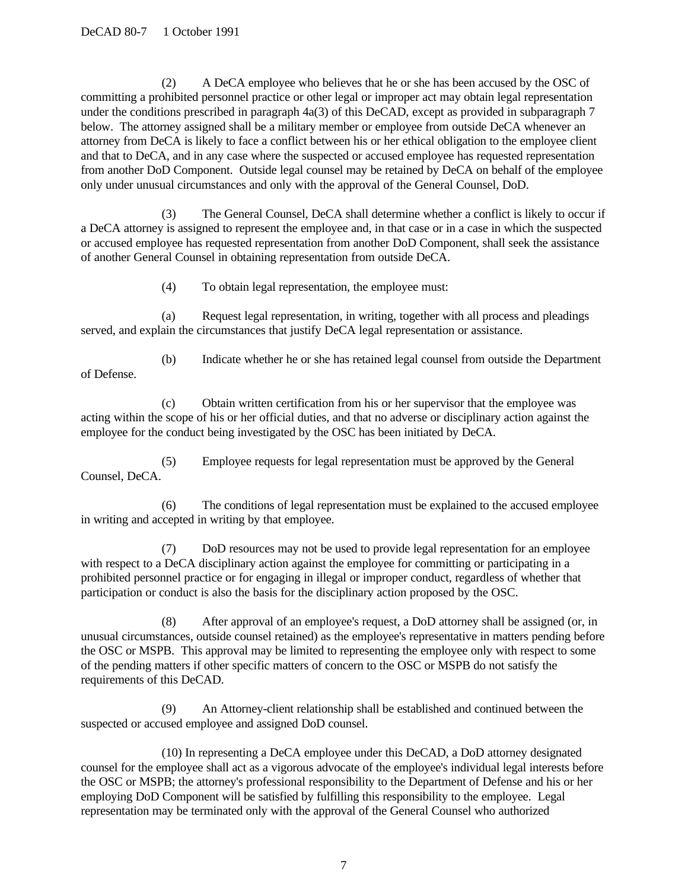(2) A DeCA employee who believes that he or she has been accused by the OSC of committing a prohibited personnel practice or other legal or improper act may obtain legal representation under the conditions prescribed in paragraph 4a(3) of this DeCAD, except as provided in subparagraph 7 below. The attorney assigned shall be a military member or employee from outside DeCA whenever an attorney from DeCA is likely to face a conflict between his or her ethical obligation to the employee client and that to DeCA, and in any case where the suspected or accused employee has requested representation from another DoD Component. Outside legal counsel may be retained by DeCA on behalf of the employee only under unusual circumstances and only with the approval of the General Counsel, DoD.

(3) The General Counsel, DeCA shall determine whether a conflict is likely to occur if a DeCA attorney is assigned to represent the employee and, in that case or in a case in which the suspected or accused employee has requested representation from another DoD Component, shall seek the assistance of another General Counsel in obtaining representation from outside DeCA.

(4) To obtain legal representation, the employee must:

(a) Request legal representation, in writing, together with all process and pleadings served, and explain the circumstances that justify DeCA legal representation or assistance.

(b) Indicate whether he or she has retained legal counsel from outside the Department of Defense.

(c) Obtain written certification from his or her supervisor that the employee was acting within the scope of his or her official duties, and that no adverse or disciplinary action against the employee for the conduct being investigated by the OSC has been initiated by DeCA.

(5) Employee requests for legal representation must be approved by the General Counsel, DeCA.

(6) The conditions of legal representation must be explained to the accused employee in writing and accepted in writing by that employee.

(7) DoD resources may not be used to provide legal representation for an employee with respect to a DeCA disciplinary action against the employee for committing or participating in a prohibited personnel practice or for engaging in illegal or improper conduct, regardless of whether that participation or conduct is also the basis for the disciplinary action proposed by the OSC.

(8) After approval of an employee's request, a DoD attorney shall be assigned (or, in unusual circumstances, outside counsel retained) as the employee's representative in matters pending before the OSC or MSPB. This approval may be limited to representing the employee only with respect to some of the pending matters if other specific matters of concern to the OSC or MSPB do not satisfy the requirements of this DeCAD.

An Attorney-client relationship shall be established and continued between the suspected or accused employee and assigned DoD counsel.

(10) In representing a DeCA employee under this DeCAD, a DoD attorney designated counsel for the employee shall act as a vigorous advocate of the employee's individual legal interests before the OSC or MSPB; the attorney's professional responsibility to the Department of Defense and his or her employing DoD Component will be satisfied by fulfilling this responsibility to the employee. Legal representation may be terminated only with the approval of the General Counsel who authorized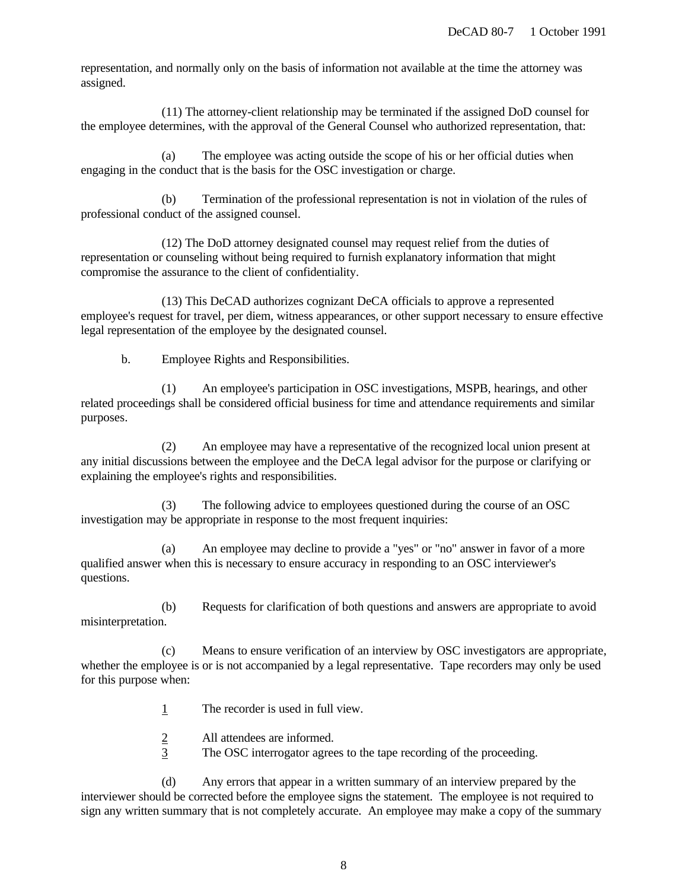representation, and normally only on the basis of information not available at the time the attorney was assigned.

(11) The attorney-client relationship may be terminated if the assigned DoD counsel for the employee determines, with the approval of the General Counsel who authorized representation, that:

(a) The employee was acting outside the scope of his or her official duties when engaging in the conduct that is the basis for the OSC investigation or charge.

(b) Termination of the professional representation is not in violation of the rules of professional conduct of the assigned counsel.

(12) The DoD attorney designated counsel may request relief from the duties of representation or counseling without being required to furnish explanatory information that might compromise the assurance to the client of confidentiality.

(13) This DeCAD authorizes cognizant DeCA officials to approve a represented employee's request for travel, per diem, witness appearances, or other support necessary to ensure effective legal representation of the employee by the designated counsel.

b. Employee Rights and Responsibilities.

(1) An employee's participation in OSC investigations, MSPB, hearings, and other related proceedings shall be considered official business for time and attendance requirements and similar purposes.

(2) An employee may have a representative of the recognized local union present at any initial discussions between the employee and the DeCA legal advisor for the purpose or clarifying or explaining the employee's rights and responsibilities.

(3) The following advice to employees questioned during the course of an OSC investigation may be appropriate in response to the most frequent inquiries:

(a) An employee may decline to provide a "yes" or "no" answer in favor of a more qualified answer when this is necessary to ensure accuracy in responding to an OSC interviewer's questions.

(b) Requests for clarification of both questions and answers are appropriate to avoid misinterpretation.

(c) Means to ensure verification of an interview by OSC investigators are appropriate, whether the employee is or is not accompanied by a legal representative. Tape recorders may only be used for this purpose when:

1 The recorder is used in full view.

- 2 All attendees are informed.
- 3 The OSC interrogator agrees to the tape recording of the proceeding.

(d) Any errors that appear in a written summary of an interview prepared by the interviewer should be corrected before the employee signs the statement. The employee is not required to sign any written summary that is not completely accurate. An employee may make a copy of the summary